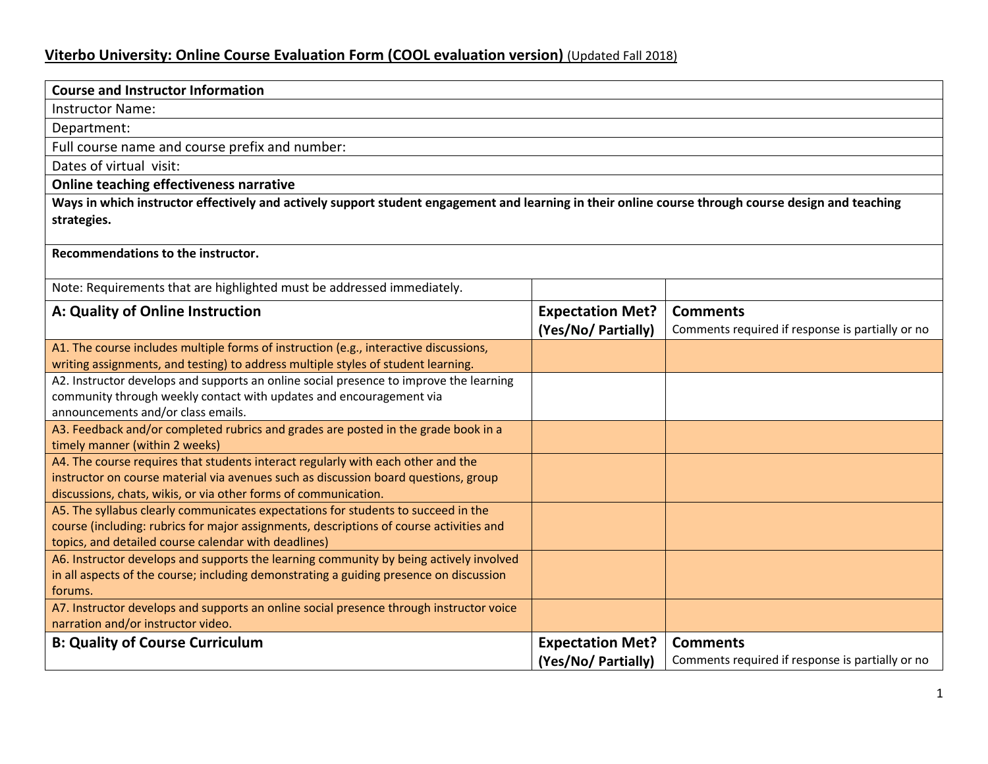## **Viterbo University: Online Course Evaluation Form (COOL evaluation version)** (Updated Fall 2018)

| <b>Course and Instructor Information</b>                                                                                                                                |                         |                                                  |  |
|-------------------------------------------------------------------------------------------------------------------------------------------------------------------------|-------------------------|--------------------------------------------------|--|
| <b>Instructor Name:</b>                                                                                                                                                 |                         |                                                  |  |
| Department:                                                                                                                                                             |                         |                                                  |  |
| Full course name and course prefix and number:                                                                                                                          |                         |                                                  |  |
| Dates of virtual visit:                                                                                                                                                 |                         |                                                  |  |
| <b>Online teaching effectiveness narrative</b>                                                                                                                          |                         |                                                  |  |
| Ways in which instructor effectively and actively support student engagement and learning in their online course through course design and teaching<br>strategies.      |                         |                                                  |  |
| Recommendations to the instructor.                                                                                                                                      |                         |                                                  |  |
| Note: Requirements that are highlighted must be addressed immediately.                                                                                                  |                         |                                                  |  |
| A: Quality of Online Instruction                                                                                                                                        | <b>Expectation Met?</b> | <b>Comments</b>                                  |  |
|                                                                                                                                                                         | (Yes/No/ Partially)     | Comments required if response is partially or no |  |
| A1. The course includes multiple forms of instruction (e.g., interactive discussions,                                                                                   |                         |                                                  |  |
| writing assignments, and testing) to address multiple styles of student learning.                                                                                       |                         |                                                  |  |
| A2. Instructor develops and supports an online social presence to improve the learning                                                                                  |                         |                                                  |  |
| community through weekly contact with updates and encouragement via                                                                                                     |                         |                                                  |  |
| announcements and/or class emails.                                                                                                                                      |                         |                                                  |  |
| A3. Feedback and/or completed rubrics and grades are posted in the grade book in a                                                                                      |                         |                                                  |  |
| timely manner (within 2 weeks)                                                                                                                                          |                         |                                                  |  |
| A4. The course requires that students interact regularly with each other and the<br>instructor on course material via avenues such as discussion board questions, group |                         |                                                  |  |
| discussions, chats, wikis, or via other forms of communication.                                                                                                         |                         |                                                  |  |
| A5. The syllabus clearly communicates expectations for students to succeed in the                                                                                       |                         |                                                  |  |
| course (including: rubrics for major assignments, descriptions of course activities and                                                                                 |                         |                                                  |  |
| topics, and detailed course calendar with deadlines)                                                                                                                    |                         |                                                  |  |
| A6. Instructor develops and supports the learning community by being actively involved                                                                                  |                         |                                                  |  |
| in all aspects of the course; including demonstrating a guiding presence on discussion                                                                                  |                         |                                                  |  |
| forums.                                                                                                                                                                 |                         |                                                  |  |
| A7. Instructor develops and supports an online social presence through instructor voice                                                                                 |                         |                                                  |  |
| narration and/or instructor video.                                                                                                                                      |                         |                                                  |  |
| <b>B: Quality of Course Curriculum</b>                                                                                                                                  | <b>Expectation Met?</b> | <b>Comments</b>                                  |  |
|                                                                                                                                                                         | (Yes/No/ Partially)     | Comments required if response is partially or no |  |